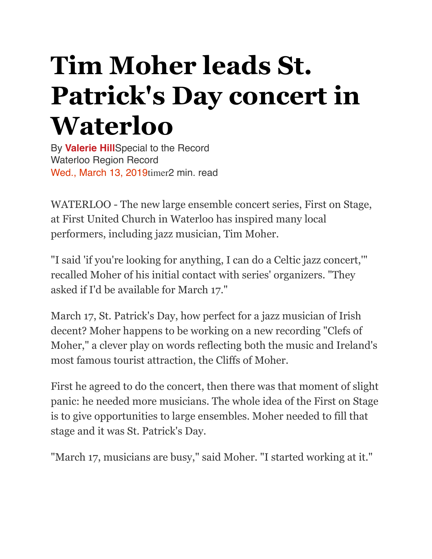## **Tim Moher leads St. Patrick's Day concert in Waterloo**

By **[Valerie Hill](https://www.therecord.com/authors.hill_valerie.html)**Special to the Record Waterloo Region Record Wed., March 13, 2019timer2 min. read

WATERLOO - The new large ensemble concert series, First on Stage, at First United Church in Waterloo has inspired many local performers, including jazz musician, Tim Moher.

"I said 'if you're looking for anything, I can do a Celtic jazz concert,'" recalled Moher of his initial contact with series' organizers. "They asked if I'd be available for March 17."

March 17, St. Patrick's Day, how perfect for a jazz musician of Irish decent? Moher happens to be working on a new recording "Clefs of Moher," a clever play on words reflecting both the music and Ireland's most famous tourist attraction, the Cliffs of Moher.

First he agreed to do the concert, then there was that moment of slight panic: he needed more musicians. The whole idea of the First on Stage is to give opportunities to large ensembles. Moher needed to fill that stage and it was St. Patrick's Day.

"March 17, musicians are busy," said Moher. "I started working at it."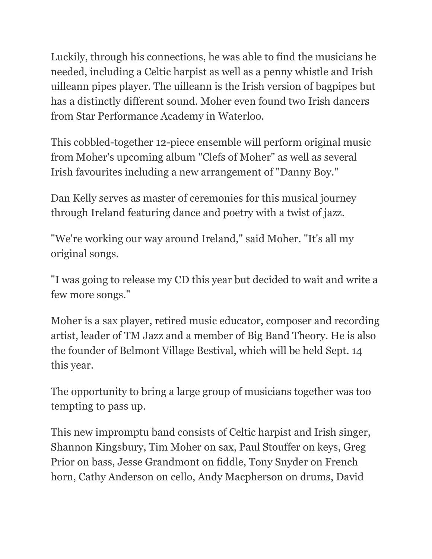Luckily, through his connections, he was able to find the musicians he needed, including a Celtic harpist as well as a penny whistle and Irish uilleann pipes player. The uilleann is the Irish version of bagpipes but has a distinctly different sound. Moher even found two Irish dancers from Star Performance Academy in Waterloo.

This cobbled-together 12-piece ensemble will perform original music from Moher's upcoming album "Clefs of Moher" as well as several Irish favourites including a new arrangement of "Danny Boy."

Dan Kelly serves as master of ceremonies for this musical journey through Ireland featuring dance and poetry with a twist of jazz.

"We're working our way around Ireland," said Moher. "It's all my original songs.

"I was going to release my CD this year but decided to wait and write a few more songs."

Moher is a sax player, retired music educator, composer and recording artist, leader of TM Jazz and a member of Big Band Theory. He is also the founder of Belmont Village Bestival, which will be held Sept. 14 this year.

The opportunity to bring a large group of musicians together was too tempting to pass up.

This new impromptu band consists of Celtic harpist and Irish singer, Shannon Kingsbury, Tim Moher on sax, Paul Stouffer on keys, Greg Prior on bass, Jesse Grandmont on fiddle, Tony Snyder on French horn, Cathy Anderson on cello, Andy Macpherson on drums, David